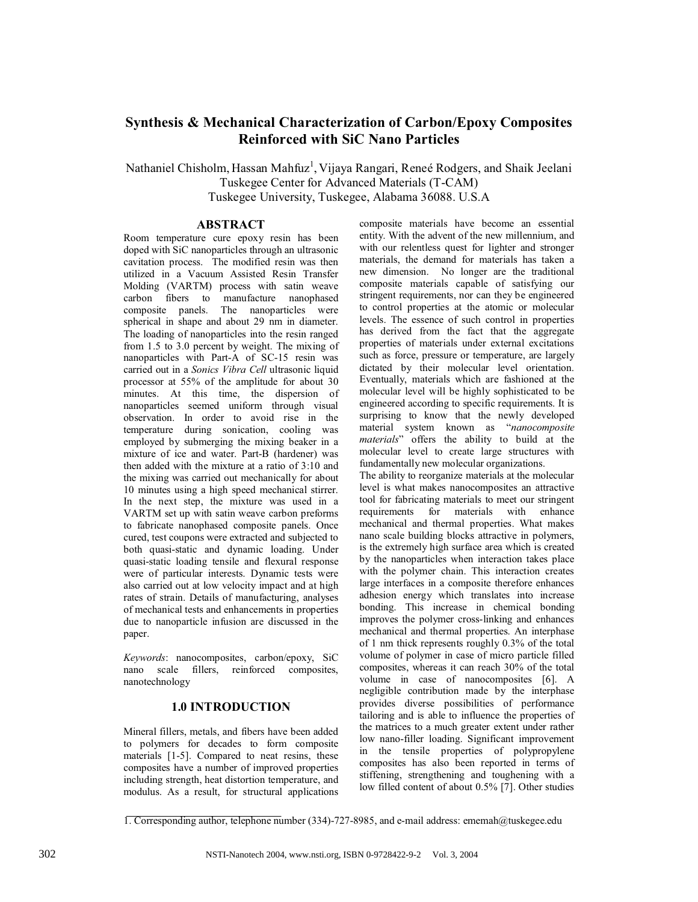# **Synthesis & Mechanical Characterization of Carbon/Epoxy Composites Reinforced with SiC Nano Particles**

Nathaniel Chisholm, Hassan Mahfuz<sup>1</sup>, Vijaya Rangari, Reneé Rodgers, and Shaik Jeelani Tuskegee Center for Advanced Materials (T-CAM) Tuskegee University, Tuskegee, Alabama 36088. U.S.A

## **ABSTRACT**

Room temperature cure epoxy resin has been doped with SiC nanoparticles through an ultrasonic cavitation process. The modified resin was then utilized in a Vacuum Assisted Resin Transfer Molding (VARTM) process with satin weave carbon fibers to manufacture nanophased composite panels. The nanoparticles were spherical in shape and about 29 nm in diameter. The loading of nanoparticles into the resin ranged from 1.5 to 3.0 percent by weight. The mixing of nanoparticles with Part-A of SC-15 resin was carried out in a *Sonics Vibra Cell* ultrasonic liquid processor at 55% of the amplitude for about 30 minutes. At this time, the dispersion of nanoparticles seemed uniform through visual observation. In order to avoid rise in the temperature during sonication, cooling was employed by submerging the mixing beaker in a mixture of ice and water. Part-B (hardener) was then added with the mixture at a ratio of 3:10 and the mixing was carried out mechanically for about 10 minutes using a high speed mechanical stirrer. In the next step, the mixture was used in a VARTM set up with satin weave carbon preforms to fabricate nanophased composite panels. Once cured, test coupons were extracted and subjected to both quasi-static and dynamic loading. Under quasi-static loading tensile and flexural response were of particular interests. Dynamic tests were also carried out at low velocity impact and at high rates of strain. Details of manufacturing, analyses of mechanical tests and enhancements in properties due to nanoparticle infusion are discussed in the paper.

*Keywords*: nanocomposites, carbon/epoxy, SiC nano scale fillers, reinforced composites, nanotechnology

## **1.0 INTRODUCTION**

Mineral fillers, metals, and fibers have been added to polymers for decades to form composite materials [1-5]. Compared to neat resins, these composites have a number of improved properties including strength, heat distortion temperature, and modulus. As a result, for structural applications

composite materials have become an essential entity. With the advent of the new millennium, and with our relentless quest for lighter and stronger materials, the demand for materials has taken a new dimension. No longer are the traditional composite materials capable of satisfying our stringent requirements, nor can they be engineered to control properties at the atomic or molecular levels. The essence of such control in properties has derived from the fact that the aggregate properties of materials under external excitations such as force, pressure or temperature, are largely dictated by their molecular level orientation. Eventually, materials which are fashioned at the molecular level will be highly sophisticated to be engineered according to specific requirements. It is surprising to know that the newly developed material system known as "*nanocomposite materials*" offers the ability to build at the molecular level to create large structures with fundamentally new molecular organizations.

The ability to reorganize materials at the molecular level is what makes nanocomposites an attractive tool for fabricating materials to meet our stringent requirements for materials with enhance mechanical and thermal properties. What makes nano scale building blocks attractive in polymers, is the extremely high surface area which is created by the nanoparticles when interaction takes place with the polymer chain. This interaction creates large interfaces in a composite therefore enhances adhesion energy which translates into increase bonding. This increase in chemical bonding improves the polymer cross-linking and enhances mechanical and thermal properties. An interphase of 1 nm thick represents roughly 0.3% of the total volume of polymer in case of micro particle filled composites, whereas it can reach 30% of the total volume in case of nanocomposites [6]. A negligible contribution made by the interphase provides diverse possibilities of performance tailoring and is able to influence the properties of the matrices to a much greater extent under rather low nano-filler loading. Significant improvement in the tensile properties of polypropylene composites has also been reported in terms of stiffening, strengthening and toughening with a low filled content of about 0.5% [7]. Other studies

<sup>1.</sup> Corresponding author, telephone number (334)-727-8985, and e-mail address: ememah@tuskegee.edu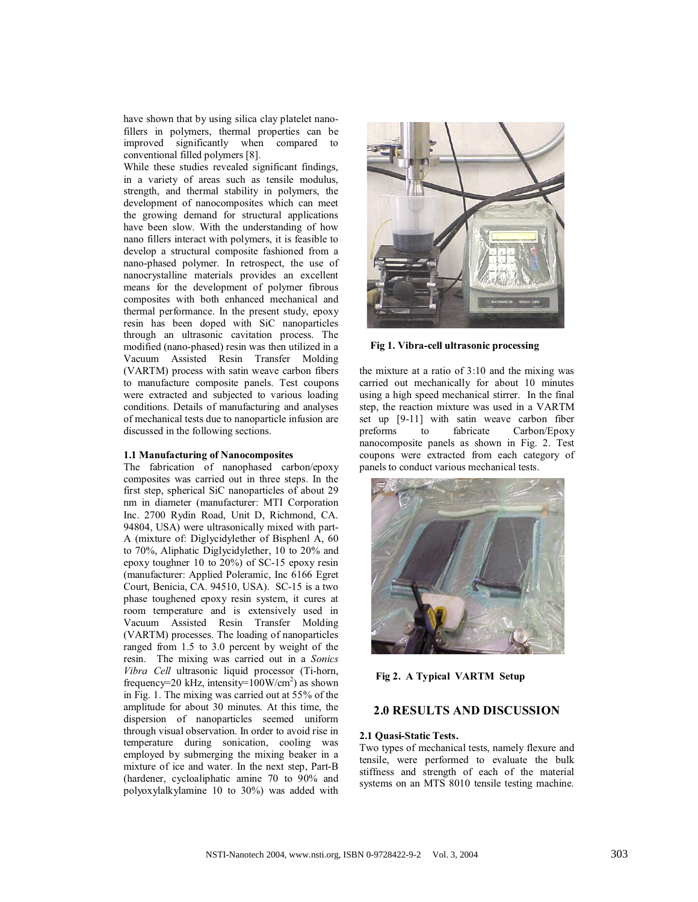have shown that by using silica clay platelet nanofillers in polymers, thermal properties can be improved significantly when compared to conventional filled polymers [8].

While these studies revealed significant findings, in a variety of areas such as tensile modulus, strength, and thermal stability in polymers, the development of nanocomposites which can meet the growing demand for structural applications have been slow. With the understanding of how nano fillers interact with polymers, it is feasible to develop a structural composite fashioned from a nano-phased polymer. In retrospect, the use of nanocrystalline materials provides an excellent means for the development of polymer fibrous composites with both enhanced mechanical and thermal performance. In the present study, epoxy resin has been doped with SiC nanoparticles through an ultrasonic cavitation process. The modified (nano-phased) resin was then utilized in a Vacuum Assisted Resin Transfer Molding (VARTM) process with satin weave carbon fibers to manufacture composite panels. Test coupons were extracted and subjected to various loading conditions. Details of manufacturing and analyses of mechanical tests due to nanoparticle infusion are discussed in the following sections.

#### **1.1 Manufacturing of Nanocomposites**

The fabrication of nanophased carbon/epoxy composites was carried out in three steps. In the first step, spherical SiC nanoparticles of about 29 nm in diameter (manufacturer: MTI Corporation Inc. 2700 Rydin Road, Unit D, Richmond, CA. 94804, USA) were ultrasonically mixed with part-A (mixture of: Diglycidylether of Bisphenl A, 60 to 70%, Aliphatic Diglycidylether, 10 to 20% and epoxy toughner 10 to 20%) of SC-15 epoxy resin (manufacturer: Applied Poleramic, Inc 6166 Egret Court, Benicia, CA. 94510, USA). SC-15 is a two phase toughened epoxy resin system, it cures at room temperature and is extensively used in Vacuum Assisted Resin Transfer Molding (VARTM) processes. The loading of nanoparticles ranged from 1.5 to 3.0 percent by weight of the resin. The mixing was carried out in a *Sonics Vibra Cell* ultrasonic liquid processor (Ti-horn, frequency=20 kHz, intensity= $100W/cm^2$ ) as shown in Fig. 1. The mixing was carried out at 55% of the amplitude for about 30 minutes. At this time, the dispersion of nanoparticles seemed uniform through visual observation. In order to avoid rise in temperature during sonication, cooling was employed by submerging the mixing beaker in a mixture of ice and water. In the next step, Part-B (hardener, cycloaliphatic amine 70 to 90% and polyoxylalkylamine 10 to 30%) was added with



#### **Fig 1. Vibra-cell ultrasonic processing**

the mixture at a ratio of 3:10 and the mixing was carried out mechanically for about 10 minutes using a high speed mechanical stirrer. In the final step, the reaction mixture was used in a VARTM set up [9-11] with satin weave carbon fiber<br>preforms to fabricate Carbon/Epoxy preforms to fabricate Carbon/Epoxy nanocomposite panels as shown in Fig. 2. Test coupons were extracted from each category of panels to conduct various mechanical tests.



**Fig 2. A Typical VARTM Setup**

# **2.0 RESULTS AND DISCUSSION**

### **2.1 Quasi-Static Tests.**

Two types of mechanical tests, namely flexure and tensile, were performed to evaluate the bulk stiffness and strength of each of the material systems on an MTS 8010 tensile testing machine.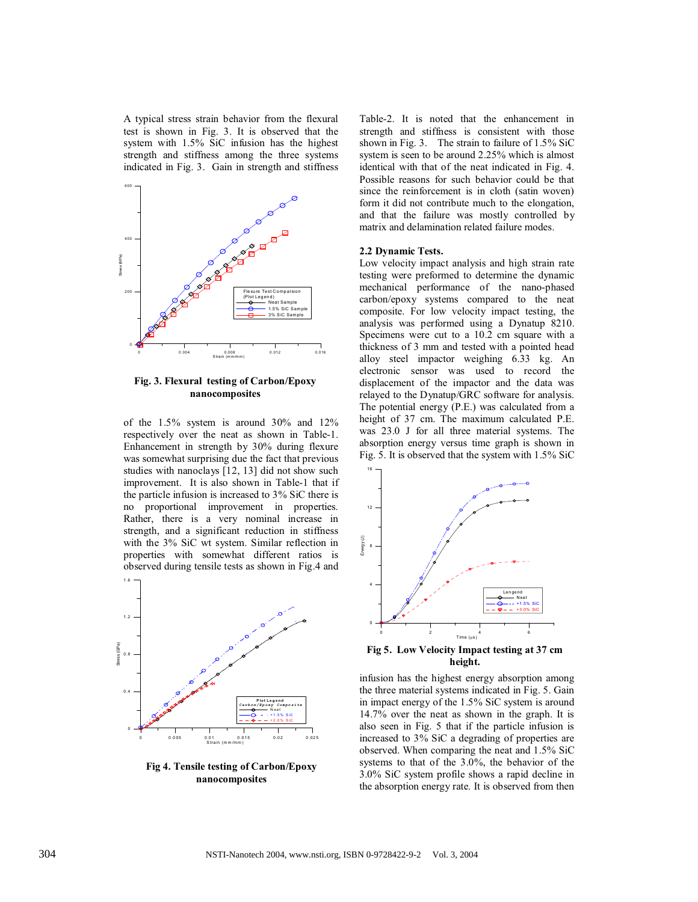A typical stress strain behavior from the flexural test is shown in Fig. 3. It is observed that the system with 1.5% SiC infusion has the highest strength and stiffness among the three systems indicated in Fig. 3. Gain in strength and stiffness



**Fig. 3. Flexural testing of Carbon/Epoxy nanocomposites**

of the 1.5% system is around 30% and 12% respectively over the neat as shown in Table-1. Enhancement in strength by 30% during flexure was somewhat surprising due the fact that previous studies with nanoclays [12, 13] did not show such improvement. It is also shown in Table-1 that if the particle infusion is increased to 3% SiC there is no proportional improvement in properties. Rather, there is a very nominal increase in strength, and a significant reduction in stiffness with the 3% SiC wt system. Similar reflection in properties with somewhat different ratios is observed during tensile tests as shown in Fig.4 and



**Fig 4. Tensile testing of Carbon/Epoxy nanocomposites**

Table-2. It is noted that the enhancement in strength and stiffness is consistent with those shown in Fig. 3. The strain to failure of 1.5% SiC system is seen to be around 2.25% which is almost identical with that of the neat indicated in Fig. 4. Possible reasons for such behavior could be that since the reinforcement is in cloth (satin woven) form it did not contribute much to the elongation, and that the failure was mostly controlled by matrix and delamination related failure modes.

#### **2.2 Dynamic Tests.**

Low velocity impact analysis and high strain rate testing were preformed to determine the dynamic mechanical performance of the nano-phased carbon/epoxy systems compared to the neat composite. For low velocity impact testing, the analysis was performed using a Dynatup 8210. Specimens were cut to a 10.2 cm square with a thickness of 3 mm and tested with a pointed head alloy steel impactor weighing 6.33 kg. An electronic sensor was used to record the displacement of the impactor and the data was relayed to the Dynatup/GRC software for analysis. The potential energy (P.E.) was calculated from a height of 37 cm. The maximum calculated P.E. was 23.0 J for all three material systems. The absorption energy versus time graph is shown in Fig. 5. It is observed that the system with 1.5% SiC



**Fig 5. Low Velocity Impact testing at 37 cm height.**

infusion has the highest energy absorption among the three material systems indicated in Fig. 5. Gain in impact energy of the 1.5% SiC system is around 14.7% over the neat as shown in the graph. It is also seen in Fig. 5 that if the particle infusion is increased to 3% SiC a degrading of properties are observed. When comparing the neat and 1.5% SiC systems to that of the 3.0%, the behavior of the 3.0% SiC system profile shows a rapid decline in the absorption energy rate. It is observed from then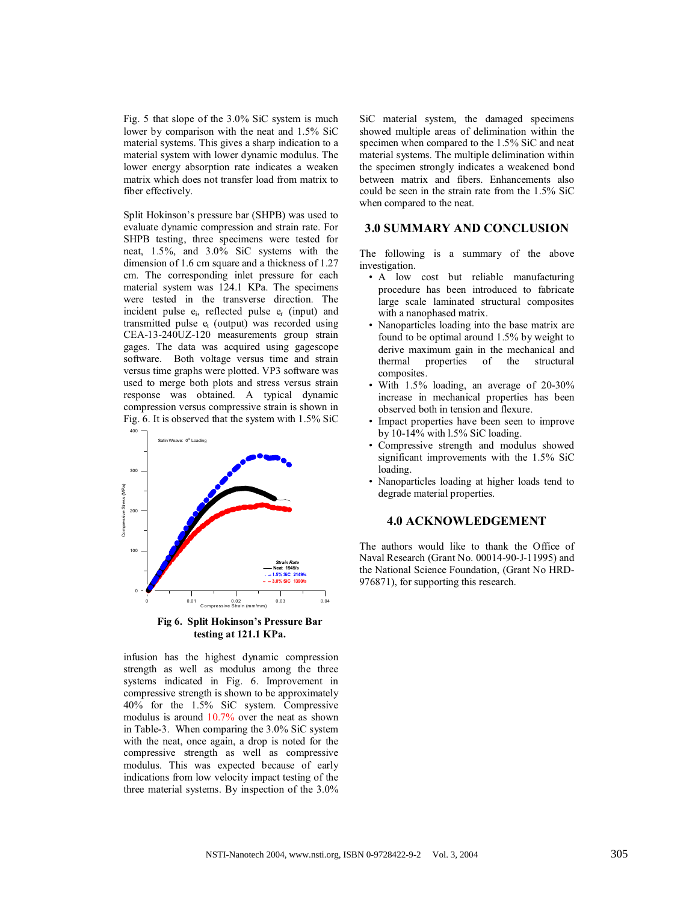Fig. 5 that slope of the 3.0% SiC system is much lower by comparison with the neat and 1.5% SiC material systems. This gives a sharp indication to a material system with lower dynamic modulus. The lower energy absorption rate indicates a weaken matrix which does not transfer load from matrix to fiber effectively.

Split Hokinson's pressure bar (SHPB) was used to evaluate dynamic compression and strain rate. For SHPB testing, three specimens were tested for neat, 1.5%, and 3.0% SiC systems with the dimension of 1.6 cm square and a thickness of 1.27 cm. The corresponding inlet pressure for each material system was 124.1 KPa. The specimens were tested in the transverse direction. The incident pulse ei, reflected pulse er (input) and transmitted pulse et (output) was recorded using CEA-13-240UZ-120 measurements group strain gages. The data was acquired using gagescope software. Both voltage versus time and strain versus time graphs were plotted. VP3 software was used to merge both plots and stress versus strain response was obtained. A typical dynamic compression versus compressive strain is shown in Fig. 6. It is observed that the system with 1.5% SiC



infusion has the highest dynamic compression strength as well as modulus among the three systems indicated in Fig. 6. Improvement in compressive strength is shown to be approximately 40% for the 1.5% SiC system. Compressive modulus is around 10.7% over the neat as shown in Table-3. When comparing the 3.0% SiC system with the neat, once again, a drop is noted for the compressive strength as well as compressive modulus. This was expected because of early indications from low velocity impact testing of the three material systems. By inspection of the 3.0%

SiC material system, the damaged specimens showed multiple areas of delimination within the specimen when compared to the 1.5% SiC and neat material systems. The multiple delimination within the specimen strongly indicates a weakened bond between matrix and fibers. Enhancements also could be seen in the strain rate from the 1.5% SiC when compared to the neat.

### **3.0 SUMMARY AND CONCLUSION**

The following is a summary of the above investigation.

- A low cost but reliable manufacturing procedure has been introduced to fabricate large scale laminated structural composites with a nanophased matrix.
- Nanoparticles loading into the base matrix are found to be optimal around 1.5% by weight to derive maximum gain in the mechanical and<br>thermal properties of the structural properties composites.
- With  $1.5\%$  loading, an average of  $20-30\%$ increase in mechanical properties has been observed both in tension and flexure.
- Impact properties have been seen to improve by 10-14% with l.5% SiC loading.
- Compressive strength and modulus showed significant improvements with the 1.5% SiC loading.
- Nanoparticles loading at higher loads tend to degrade material properties.

## **4.0 ACKNOWLEDGEMENT**

The authors would like to thank the Office of Naval Research (Grant No. 00014-90-J-11995) and the National Science Foundation, (Grant No HRD-976871), for supporting this research.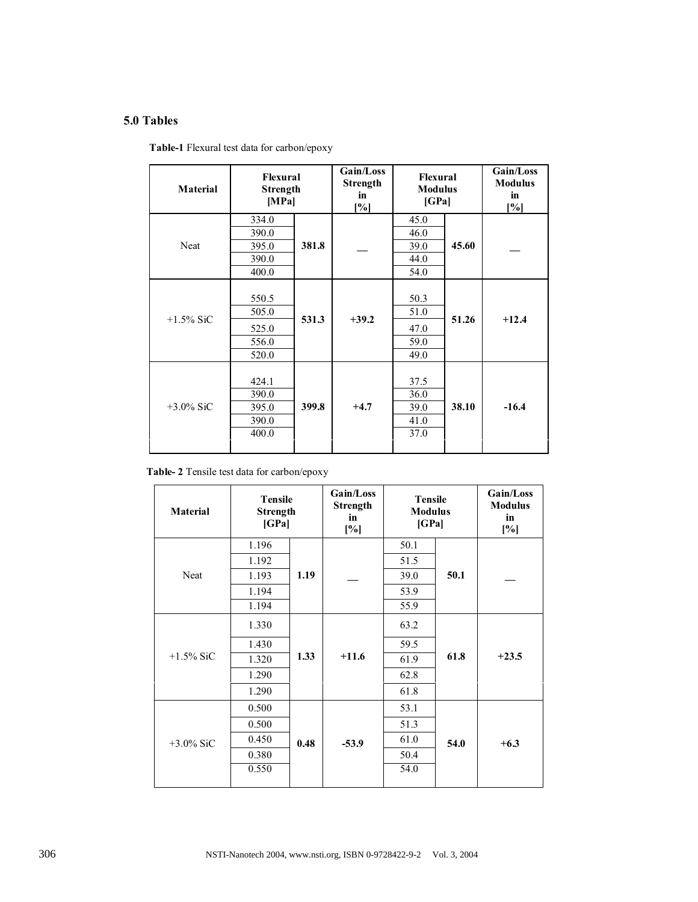# **5.0 Tables**

|  |  |  |  | Table-1 Flexural test data for carbon/epoxy |
|--|--|--|--|---------------------------------------------|
|--|--|--|--|---------------------------------------------|

| <b>Material</b> | Flexural<br><b>Strength</b><br>[MPa]      |       | Gain/Loss<br><b>Strength</b><br>in<br>$\left[ \frac{9}{6} \right]$ | Flexural<br><b>Modulus</b><br>[GPa]  |       | Gain/Loss<br><b>Modulus</b><br>in<br>$\lceil \% \rceil$ |
|-----------------|-------------------------------------------|-------|--------------------------------------------------------------------|--------------------------------------|-------|---------------------------------------------------------|
| Neat            | 334.0<br>390.0<br>395.0<br>390.0<br>400.0 | 381.8 |                                                                    | 45.0<br>46.0<br>39.0<br>44.0<br>54.0 | 45.60 |                                                         |
| $+1.5\%$ SiC    | 550.5<br>505.0<br>525.0<br>556.0<br>520.0 | 531.3 | $+39.2$                                                            | 50.3<br>51.0<br>47.0<br>59.0<br>49.0 | 51.26 | $+12.4$                                                 |
| $+3.0\%$ SiC    | 424.1<br>390.0<br>395.0<br>390.0<br>400.0 | 399.8 | $+4.7$                                                             | 37.5<br>36.0<br>39.0<br>41.0<br>37.0 | 38.10 | $-16.4$                                                 |

**Table- 2** Tensile test data for carbon/epoxy

| <b>Material</b> | <b>Tensile</b><br>Strength<br>[GPa] |      | Gain/Loss<br>Strength<br>in<br>[%] | <b>Tensile</b><br><b>Modulus</b><br>[GPa] |      | Gain/Loss<br><b>Modulus</b><br>in<br>[%] |
|-----------------|-------------------------------------|------|------------------------------------|-------------------------------------------|------|------------------------------------------|
| Neat            | 1.196                               | 1.19 |                                    | 50.1                                      | 50.1 |                                          |
|                 | 1.192                               |      |                                    | 51.5                                      |      |                                          |
|                 | 1.193                               |      |                                    | 39.0                                      |      |                                          |
|                 | 1.194                               |      |                                    | 53.9                                      |      |                                          |
|                 | 1.194                               |      |                                    | 55.9                                      |      |                                          |
| $+1.5\%$ SiC    | 1.330                               | 1.33 | $+11.6$                            | 63.2                                      | 61.8 | $+23.5$                                  |
|                 | 1.430                               |      |                                    | 59.5                                      |      |                                          |
|                 | 1.320                               |      |                                    | 61.9                                      |      |                                          |
|                 | 1.290                               |      |                                    | 62.8                                      |      |                                          |
|                 | 1.290                               |      |                                    | 61.8                                      |      |                                          |
| $+3.0\%$ SiC    | 0.500                               | 0.48 | $-53.9$                            | 53.1                                      | 54.0 | $+6.3$                                   |
|                 | 0.500                               |      |                                    | 51.3                                      |      |                                          |
|                 | 0.450                               |      |                                    | 61.0                                      |      |                                          |
|                 | 0.380                               |      |                                    | 50.4                                      |      |                                          |
|                 | 0.550                               |      |                                    | 54.0                                      |      |                                          |
|                 |                                     |      |                                    |                                           |      |                                          |